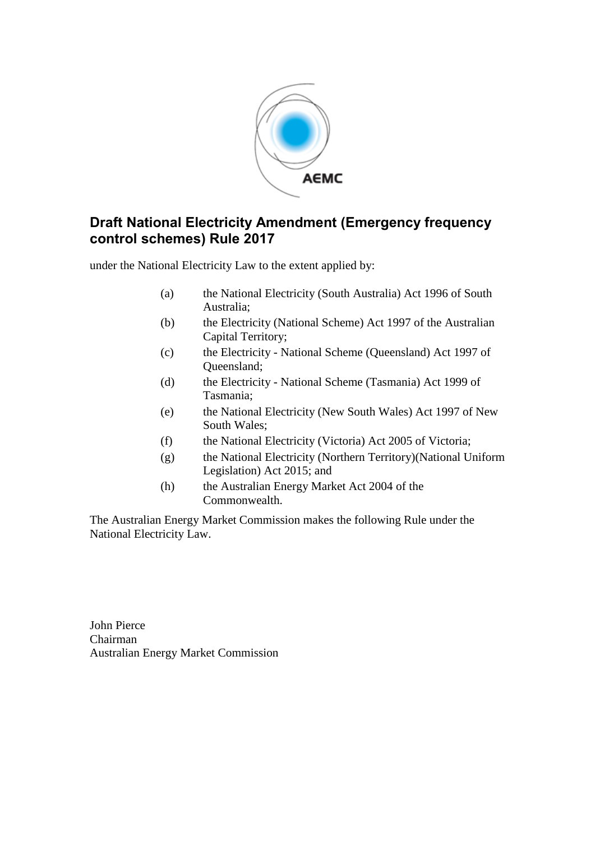

### **Draft National Electricity Amendment (Emergency frequency control schemes) Rule 2017**

under the National Electricity Law to the extent applied by:

- (a) the National Electricity (South Australia) Act 1996 of South Australia;
- (b) the Electricity (National Scheme) Act 1997 of the Australian Capital Territory;
- (c) the Electricity National Scheme (Queensland) Act 1997 of Queensland;
- (d) the Electricity National Scheme (Tasmania) Act 1999 of Tasmania;
- (e) the National Electricity (New South Wales) Act 1997 of New South Wales;
- (f) the National Electricity (Victoria) Act 2005 of Victoria;
- (g) the National Electricity (Northern Territory)(National Uniform Legislation) Act 2015; and
- (h) the Australian Energy Market Act 2004 of the Commonwealth.

The Australian Energy Market Commission makes the following Rule under the National Electricity Law.

John Pierce Chairman Australian Energy Market Commission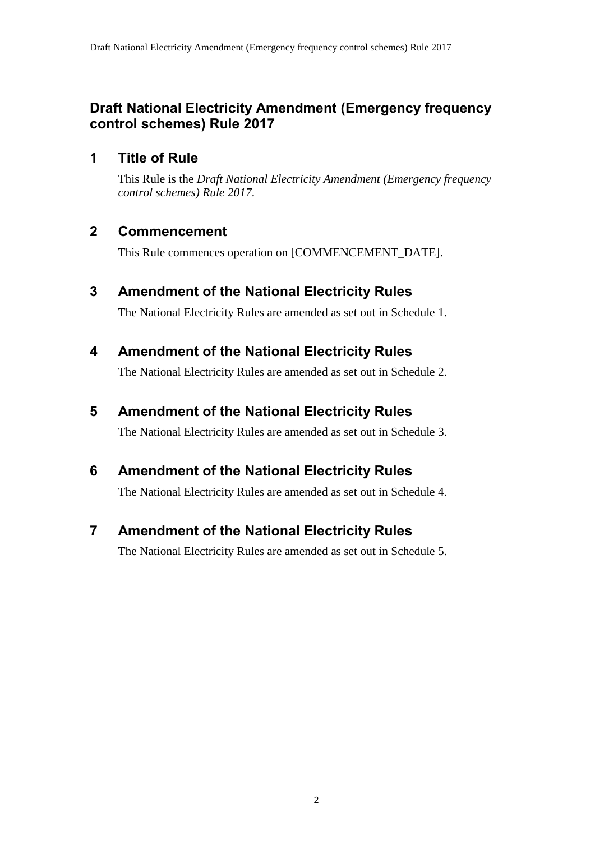# **Draft National Electricity Amendment (Emergency frequency control schemes) Rule 2017**

# **1 Title of Rule**

This Rule is the *Draft National Electricity Amendment (Emergency frequency control schemes) Rule 2017*.

# **2 Commencement**

This Rule commences operation on [COMMENCEMENT\_DATE].

# <span id="page-1-0"></span>**3 Amendment of the National Electricity Rules**

The National Electricity Rules are amended as set out in [Schedule 1.](#page-2-0)

# <span id="page-1-1"></span>**4 Amendment of the National Electricity Rules**

The National Electricity Rules are amended as set out in [Schedule 2.](#page-3-0)

# <span id="page-1-2"></span>**5 Amendment of the National Electricity Rules**

The National Electricity Rules are amended as set out in [Schedule 3.](#page-10-0)

# <span id="page-1-3"></span>**6 Amendment of the National Electricity Rules**

The National Electricity Rules are amended as set out in [Schedule 4.](#page-15-0)

# <span id="page-1-4"></span>**7 Amendment of the National Electricity Rules**

The National Electricity Rules are amended as set out in [Schedule 5.](#page-19-0)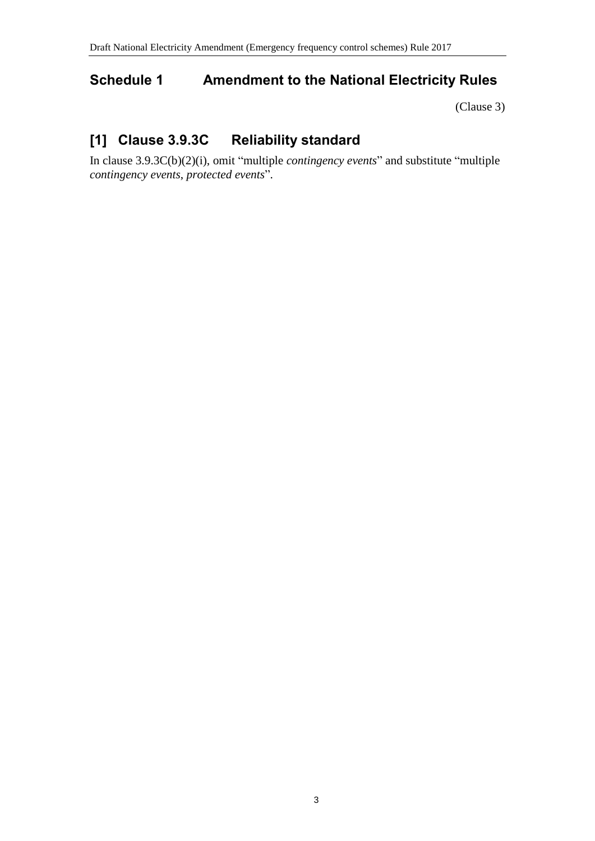# <span id="page-2-0"></span>**Schedule 1 Amendment to the National Electricity Rules**

[\(Clause 3\)](#page-1-0)

# **[1] Clause 3.9.3C Reliability standard**

In clause 3.9.3C(b)(2)(i), omit "multiple *contingency events*" and substitute "multiple *contingency events*, *protected events*".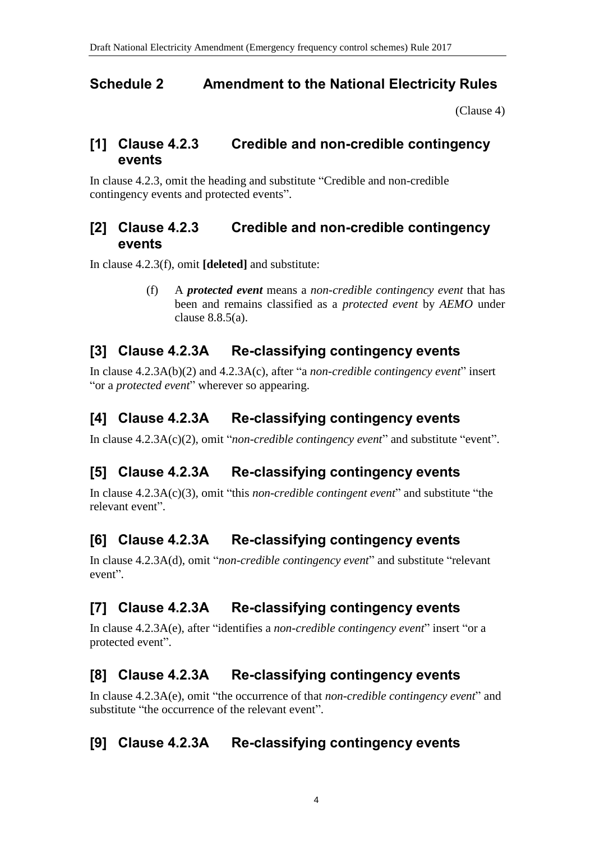### <span id="page-3-0"></span>**Schedule 2 Amendment to the National Electricity Rules**

[\(Clause 4\)](#page-1-1)

### **[1] Clause 4.2.3 Credible and non-credible contingency events**

In clause 4.2.3, omit the heading and substitute "Credible and non-credible contingency events and protected events".

# **[2] Clause 4.2.3 Credible and non-credible contingency events**

In clause 4.2.3(f), omit **[deleted]** and substitute:

(f) A *protected event* means a *non-credible contingency event* that has been and remains classified as a *protected event* by *AEMO* under clause 8.8.5(a).

# **[3] Clause 4.2.3A Re-classifying contingency events**

In clause 4.2.3A(b)(2) and 4.2.3A(c), after "a *non-credible contingency event*" insert "or a *protected event*" wherever so appearing.

# **[4] Clause 4.2.3A Re-classifying contingency events**

In clause 4.2.3A(c)(2), omit "*non-credible contingency event*" and substitute "event".

# **[5] Clause 4.2.3A Re-classifying contingency events**

In clause 4.2.3A(c)(3), omit "this *non-credible contingent event*" and substitute "the relevant event".

# **[6] Clause 4.2.3A Re-classifying contingency events**

In clause 4.2.3A(d), omit "*non-credible contingency event*" and substitute "relevant event".

# **[7] Clause 4.2.3A Re-classifying contingency events**

In clause 4.2.3A(e), after "identifies a *non-credible contingency event*" insert "or a protected event".

# **[8] Clause 4.2.3A Re-classifying contingency events**

In clause 4.2.3A(e), omit "the occurrence of that *non-credible contingency event*" and substitute "the occurrence of the relevant event".

# **[9] Clause 4.2.3A Re-classifying contingency events**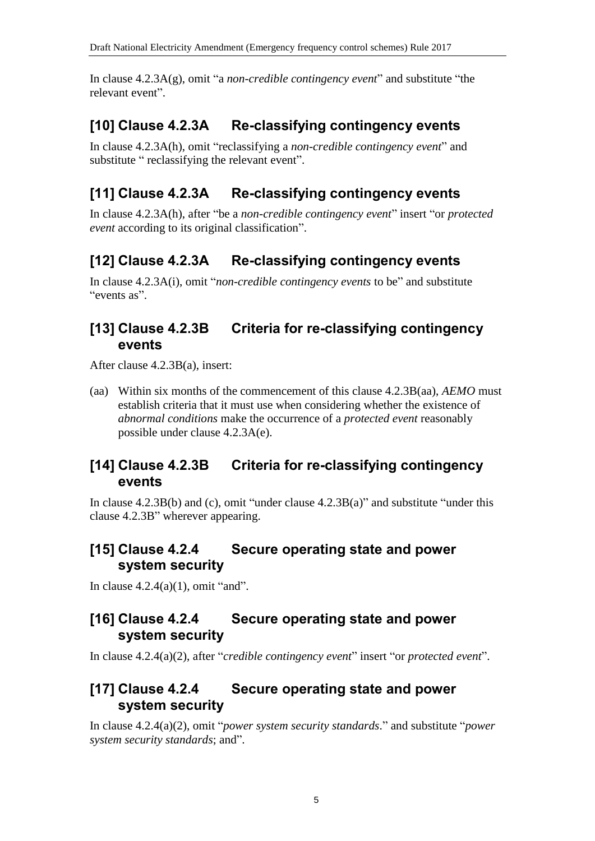In clause 4.2.3A(g), omit "a *non-credible contingency event*" and substitute "the relevant event".

## **[10] Clause 4.2.3A Re-classifying contingency events**

In clause 4.2.3A(h), omit "reclassifying a *non-credible contingency event*" and substitute " reclassifying the relevant event".

# **[11] Clause 4.2.3A Re-classifying contingency events**

In clause 4.2.3A(h), after "be a *non-credible contingency event*" insert "or *protected event* according to its original classification".

### **[12] Clause 4.2.3A Re-classifying contingency events**

In clause 4.2.3A(i), omit "*non-credible contingency events* to be" and substitute "events as".

### **[13] Clause 4.2.3B Criteria for re-classifying contingency events**

After clause 4.2.3B(a), insert:

(aa) Within six months of the commencement of this clause 4.2.3B(aa), *AEMO* must establish criteria that it must use when considering whether the existence of *abnormal conditions* make the occurrence of a *protected event* reasonably possible under clause 4.2.3A(e).

### **[14] Clause 4.2.3B Criteria for re-classifying contingency events**

In clause 4.2.3B(b) and (c), omit "under clause 4.2.3B(a)" and substitute "under this clause 4.2.3B" wherever appearing.

### **[15] Clause 4.2.4 Secure operating state and power system security**

In clause  $4.2.4(a)(1)$ , omit "and".

#### **[16] Clause 4.2.4 Secure operating state and power system security**

In clause 4.2.4(a)(2), after "*credible contingency event*" insert "or *protected event*".

#### **[17] Clause 4.2.4 Secure operating state and power system security**

In clause 4.2.4(a)(2), omit "*power system security standards*." and substitute "*power system security standards*; and".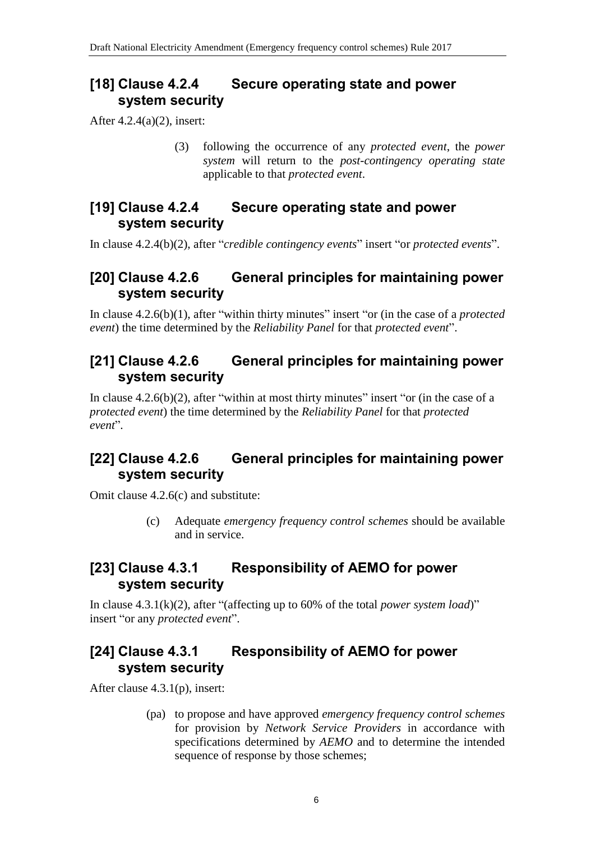### **[18] Clause 4.2.4 Secure operating state and power system security**

After 4.2.4(a)(2), insert:

(3) following the occurrence of any *protected event*, the *power system* will return to the *post-contingency operating state* applicable to that *protected event*.

#### **[19] Clause 4.2.4 Secure operating state and power system security**

In clause 4.2.4(b)(2), after "*credible contingency events*" insert "or *protected events*".

### **[20] Clause 4.2.6 General principles for maintaining power system security**

In clause 4.2.6(b)(1), after "within thirty minutes" insert "or (in the case of a *protected event*) the time determined by the *Reliability Panel* for that *protected event*".

# **[21] Clause 4.2.6 General principles for maintaining power system security**

In clause  $4.2.6(b)(2)$ , after "within at most thirty minutes" insert "or (in the case of a *protected event*) the time determined by the *Reliability Panel* for that *protected event*".

# **[22] Clause 4.2.6 General principles for maintaining power system security**

Omit clause 4.2.6(c) and substitute:

(c) Adequate *emergency frequency control schemes* should be available and in service.

# **[23] Clause 4.3.1 Responsibility of AEMO for power system security**

In clause 4.3.1(k)(2), after "(affecting up to 60% of the total *power system load*)" insert "or any *protected event*".

# **[24] Clause 4.3.1 Responsibility of AEMO for power system security**

After clause 4.3.1(p), insert:

(pa) to propose and have approved *emergency frequency control schemes* for provision by *Network Service Providers* in accordance with specifications determined by *AEMO* and to determine the intended sequence of response by those schemes;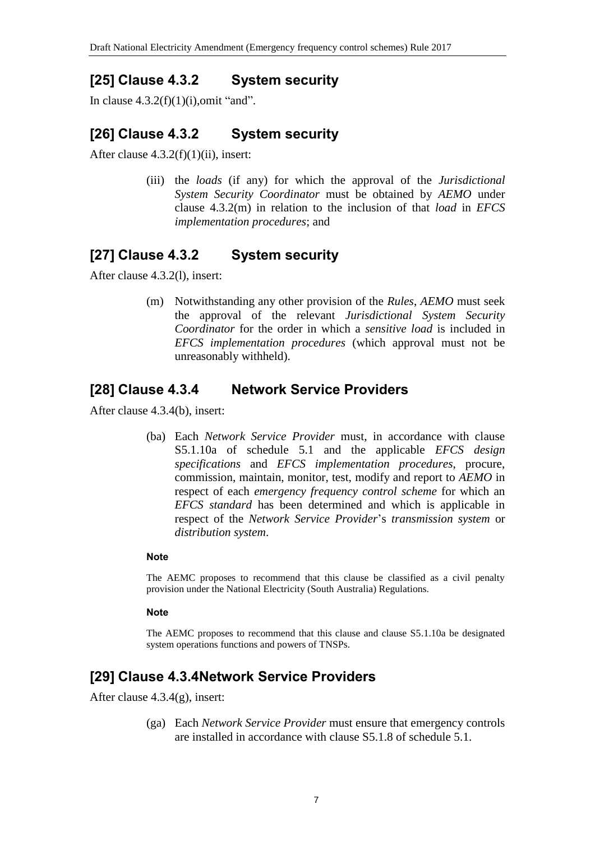# **[25] Clause 4.3.2 System security**

In clause  $4.3.2(f)(1)(i)$ , omit "and".

### **[26] Clause 4.3.2 System security**

After clause 4.3.2(f)(1)(ii), insert:

(iii) the *loads* (if any) for which the approval of the *Jurisdictional System Security Coordinator* must be obtained by *AEMO* under clause 4.3.2(m) in relation to the inclusion of that *load* in *EFCS implementation procedures*; and

### **[27] Clause 4.3.2 System security**

After clause 4.3.2(l), insert:

(m) Notwithstanding any other provision of the *Rules*, *AEMO* must seek the approval of the relevant *Jurisdictional System Security Coordinator* for the order in which a *sensitive load* is included in *EFCS implementation procedures* (which approval must not be unreasonably withheld).

#### **[28] Clause 4.3.4 Network Service Providers**

After clause 4.3.4(b), insert:

(ba) Each *Network Service Provider* must, in accordance with clause S5.1.10a of schedule 5.1 and the applicable *EFCS design specifications* and *EFCS implementation procedures*, procure, commission, maintain, monitor, test, modify and report to *AEMO* in respect of each *emergency frequency control scheme* for which an *EFCS standard* has been determined and which is applicable in respect of the *Network Service Provider*'s *transmission system* or *distribution system*.

#### **Note**

The AEMC proposes to recommend that this clause be classified as a civil penalty provision under the National Electricity (South Australia) Regulations.

#### **Note**

The AEMC proposes to recommend that this clause and clause S5.1.10a be designated system operations functions and powers of TNSPs.

### **[29] Clause 4.3.4Network Service Providers**

After clause 4.3.4(g), insert:

(ga) Each *Network Service Provider* must ensure that emergency controls are installed in accordance with clause S5.1.8 of schedule 5.1.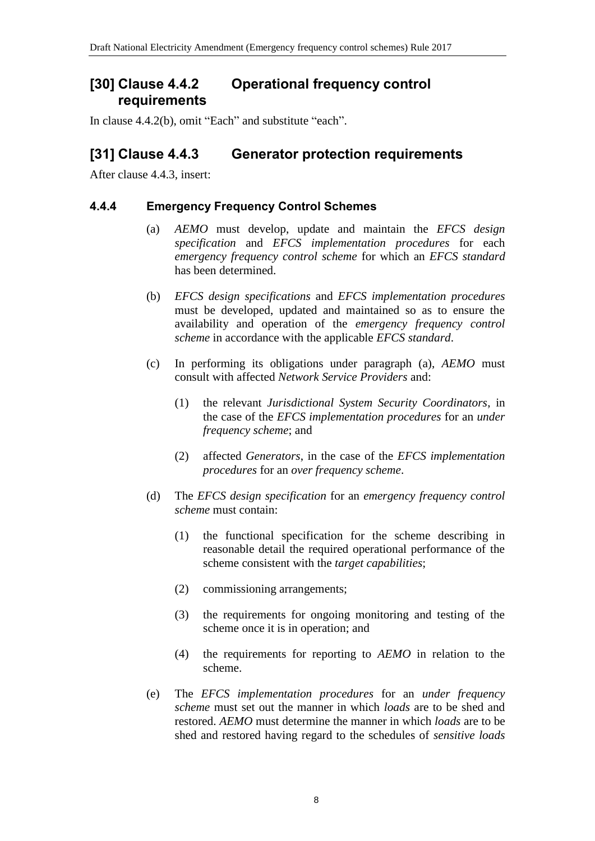#### **[30] Clause 4.4.2 Operational frequency control requirements**

In clause 4.4.2(b), omit "Each" and substitute "each".

#### **[31] Clause 4.4.3 Generator protection requirements**

After clause 4.4.3, insert:

#### **4.4.4 Emergency Frequency Control Schemes**

- (a) *AEMO* must develop, update and maintain the *EFCS design specification* and *EFCS implementation procedures* for each *emergency frequency control scheme* for which an *EFCS standard* has been determined.
- (b) *EFCS design specifications* and *EFCS implementation procedures* must be developed, updated and maintained so as to ensure the availability and operation of the *emergency frequency control scheme* in accordance with the applicable *EFCS standard*.
- (c) In performing its obligations under paragraph (a), *AEMO* must consult with affected *Network Service Providers* and:
	- (1) the relevant *Jurisdictional System Security Coordinators*, in the case of the *EFCS implementation procedures* for an *under frequency scheme*; and
	- (2) affected *Generators*, in the case of the *EFCS implementation procedures* for an *over frequency scheme*.
- (d) The *EFCS design specification* for an *emergency frequency control scheme* must contain:
	- (1) the functional specification for the scheme describing in reasonable detail the required operational performance of the scheme consistent with the *target capabilities*;
	- (2) commissioning arrangements;
	- (3) the requirements for ongoing monitoring and testing of the scheme once it is in operation; and
	- (4) the requirements for reporting to *AEMO* in relation to the scheme.
- (e) The *EFCS implementation procedures* for an *under frequency scheme* must set out the manner in which *loads* are to be shed and restored. *AEMO* must determine the manner in which *loads* are to be shed and restored having regard to the schedules of *sensitive loads*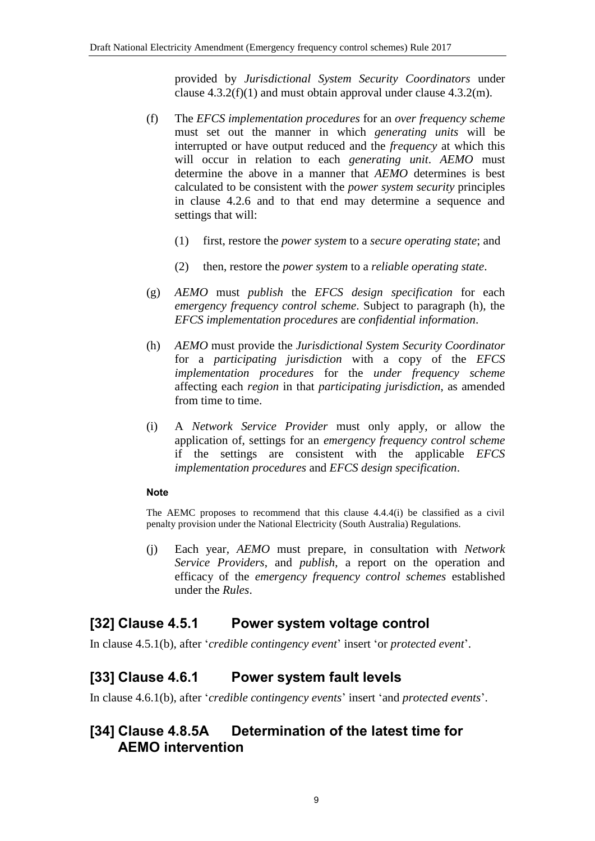provided by *Jurisdictional System Security Coordinators* under clause  $4.3.2(f)(1)$  and must obtain approval under clause  $4.3.2(m)$ .

- (f) The *EFCS implementation procedures* for an *over frequency scheme* must set out the manner in which *generating units* will be interrupted or have output reduced and the *frequency* at which this will occur in relation to each *generating unit*. *AEMO* must determine the above in a manner that *AEMO* determines is best calculated to be consistent with the *power system security* principles in clause 4.2.6 and to that end may determine a sequence and settings that will:
	- (1) first, restore the *power system* to a *secure operating state*; and
	- (2) then, restore the *power system* to a *reliable operating state*.
- (g) *AEMO* must *publish* the *EFCS design specification* for each *emergency frequency control scheme*. Subject to paragraph (h), the *EFCS implementation procedures* are *confidential information*.
- (h) *AEMO* must provide the *Jurisdictional System Security Coordinator* for a *participating jurisdiction* with a copy of the *EFCS implementation procedures* for the *under frequency scheme* affecting each *region* in that *participating jurisdiction*, as amended from time to time.
- (i) A *Network Service Provider* must only apply, or allow the application of, settings for an *emergency frequency control scheme* if the settings are consistent with the applicable *EFCS implementation procedures* and *EFCS design specification*.

#### **Note**

The AEMC proposes to recommend that this clause 4.4.4(i) be classified as a civil penalty provision under the National Electricity (South Australia) Regulations.

(j) Each year, *AEMO* must prepare, in consultation with *Network Service Providers*, and *publish*, a report on the operation and efficacy of the *emergency frequency control schemes* established under the *Rules*.

#### **[32] Clause 4.5.1 Power system voltage control**

In clause 4.5.1(b), after '*credible contingency event*' insert 'or *protected event*'.

### **[33] Clause 4.6.1 Power system fault levels**

In clause 4.6.1(b), after '*credible contingency events*' insert 'and *protected events*'.

### **[34] Clause 4.8.5A Determination of the latest time for AEMO intervention**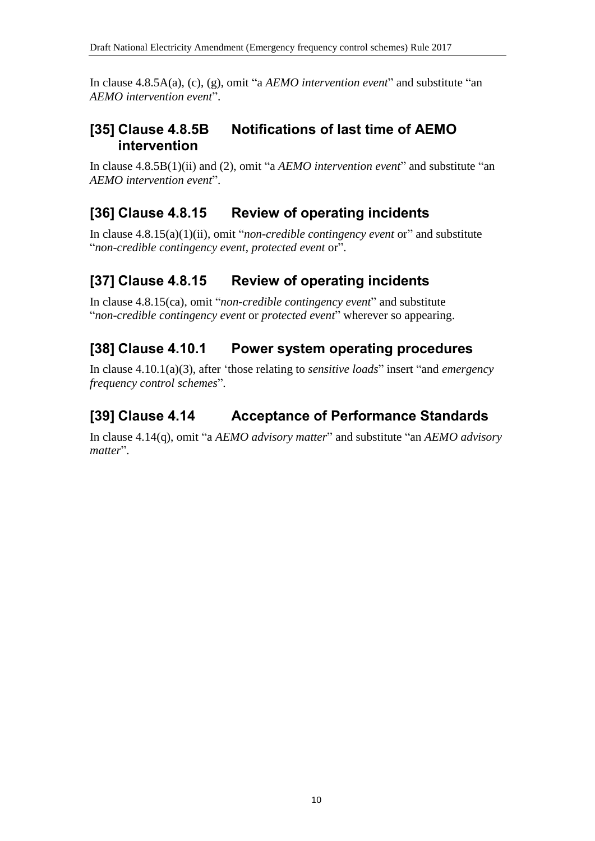In clause 4.8.5A(a), (c), (g), omit "a *AEMO intervention event*" and substitute "an *AEMO intervention event*".

## **[35] Clause 4.8.5B Notifications of last time of AEMO intervention**

In clause 4.8.5B(1)(ii) and (2), omit "a *AEMO intervention event*" and substitute "an *AEMO intervention event*".

# **[36] Clause 4.8.15 Review of operating incidents**

In clause 4.8.15(a)(1)(ii), omit "*non-credible contingency event* or" and substitute "*non-credible contingency event*, *protected event* or".

# **[37] Clause 4.8.15 Review of operating incidents**

In clause 4.8.15(ca), omit "*non-credible contingency event*" and substitute "*non-credible contingency event* or *protected event*" wherever so appearing.

# **[38] Clause 4.10.1 Power system operating procedures**

In clause 4.10.1(a)(3), after 'those relating to *sensitive loads*" insert "and *emergency frequency control schemes*".

# **[39] Clause 4.14 Acceptance of Performance Standards**

In clause 4.14(q), omit "a *AEMO advisory matter*" and substitute "an *AEMO advisory matter*".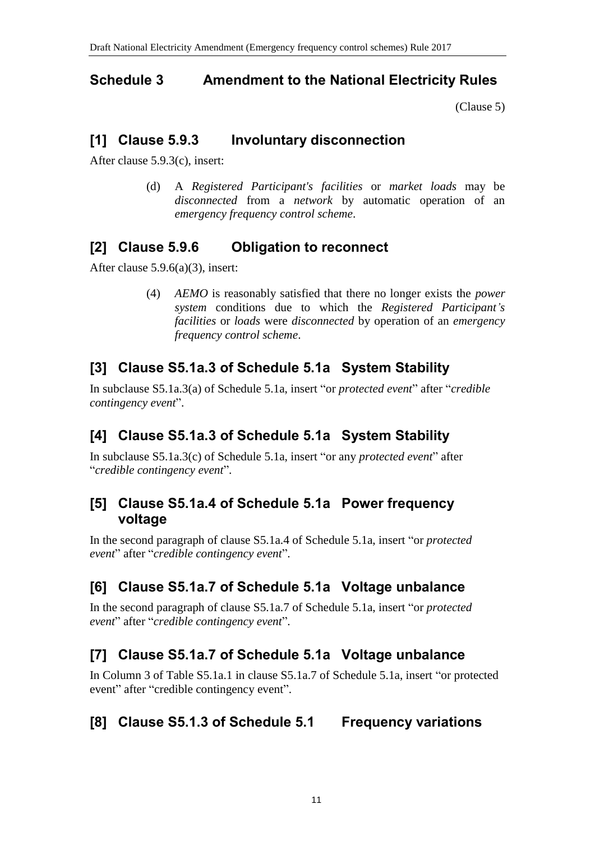#### <span id="page-10-0"></span>**Schedule 3 Amendment to the National Electricity Rules**

[\(Clause 5\)](#page-1-2)

## **[1] Clause 5.9.3 Involuntary disconnection**

After clause 5.9.3(c), insert:

(d) A *Registered Participant's facilities* or *market loads* may be *disconnected* from a *network* by automatic operation of an *emergency frequency control scheme*.

# **[2] Clause 5.9.6 Obligation to reconnect**

After clause 5.9.6(a)(3), insert:

(4) *AEMO* is reasonably satisfied that there no longer exists the *power system* conditions due to which the *Registered Participant's facilities* or *loads* were *disconnected* by operation of an *emergency frequency control scheme*.

# **[3] Clause S5.1a.3 of Schedule 5.1a System Stability**

In subclause S5.1a.3(a) of Schedule 5.1a, insert "or *protected event*" after "*credible contingency event*".

# **[4] Clause S5.1a.3 of Schedule 5.1a System Stability**

In subclause S5.1a.3(c) of Schedule 5.1a, insert "or any *protected event*" after "*credible contingency event*".

### **[5] Clause S5.1a.4 of Schedule 5.1a Power frequency voltage**

In the second paragraph of clause S5.1a.4 of Schedule 5.1a, insert "or *protected event*" after "*credible contingency event*".

# **[6] Clause S5.1a.7 of Schedule 5.1a Voltage unbalance**

In the second paragraph of clause S5.1a.7 of Schedule 5.1a, insert "or *protected event*" after "*credible contingency event*".

# **[7] Clause S5.1a.7 of Schedule 5.1a Voltage unbalance**

In Column 3 of Table S5.1a.1 in clause S5.1a.7 of Schedule 5.1a, insert "or protected event" after "credible contingency event".

# **[8] Clause S5.1.3 of Schedule 5.1 Frequency variations**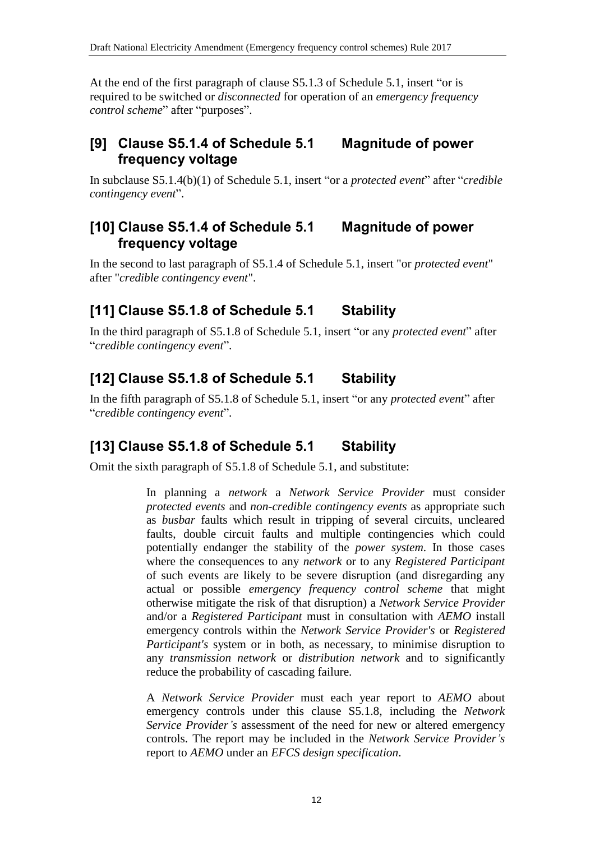At the end of the first paragraph of clause S5.1.3 of Schedule 5.1, insert "or is required to be switched or *disconnected* for operation of an *emergency frequency control scheme*" after "purposes".

# **[9] Clause S5.1.4 of Schedule 5.1 Magnitude of power frequency voltage**

In subclause S5.1.4(b)(1) of Schedule 5.1, insert "or a *protected event*" after "*credible contingency event*".

### **[10] Clause S5.1.4 of Schedule 5.1 Magnitude of power frequency voltage**

In the second to last paragraph of S5.1.4 of Schedule 5.1, insert "or *protected event*" after "*credible contingency event*".

# **[11] Clause S5.1.8 of Schedule 5.1 Stability**

In the third paragraph of S5.1.8 of Schedule 5.1, insert "or any *protected event*" after "*credible contingency event*".

# **[12] Clause S5.1.8 of Schedule 5.1 Stability**

In the fifth paragraph of S5.1.8 of Schedule 5.1, insert "or any *protected event*" after "*credible contingency event*".

# **[13] Clause S5.1.8 of Schedule 5.1 Stability**

Omit the sixth paragraph of S5.1.8 of Schedule 5.1, and substitute:

In planning a *network* a *Network Service Provider* must consider *protected events* and *non-credible contingency events* as appropriate such as *busbar* faults which result in tripping of several circuits, uncleared faults, double circuit faults and multiple contingencies which could potentially endanger the stability of the *power system*. In those cases where the consequences to any *network* or to any *Registered Participant* of such events are likely to be severe disruption (and disregarding any actual or possible *emergency frequency control scheme* that might otherwise mitigate the risk of that disruption) a *Network Service Provider* and/or a *Registered Participant* must in consultation with *AEMO* install emergency controls within the *Network Service Provider's* or *Registered Participant's* system or in both, as necessary, to minimise disruption to any *transmission network* or *distribution network* and to significantly reduce the probability of cascading failure.

A *Network Service Provider* must each year report to *AEMO* about emergency controls under this clause S5.1.8, including the *Network Service Provider's* assessment of the need for new or altered emergency controls. The report may be included in the *Network Service Provider's* report to *AEMO* under an *EFCS design specification*.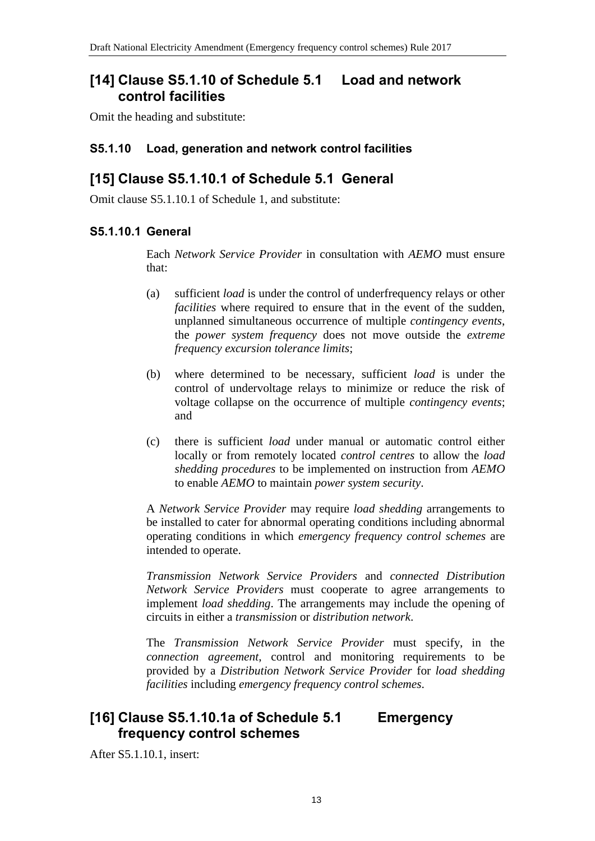### **[14] Clause S5.1.10 of Schedule 5.1 Load and network control facilities**

Omit the heading and substitute:

#### **S5.1.10 Load, generation and network control facilities**

### **[15] Clause S5.1.10.1 of Schedule 5.1 General**

Omit clause S5.1.10.1 of Schedule 1, and substitute:

#### **S5.1.10.1 General**

Each *Network Service Provider* in consultation with *AEMO* must ensure that:

- (a) sufficient *load* is under the control of underfrequency relays or other *facilities* where required to ensure that in the event of the sudden, unplanned simultaneous occurrence of multiple *contingency events*, the *power system frequency* does not move outside the *extreme frequency excursion tolerance limits*;
- (b) where determined to be necessary, sufficient *load* is under the control of undervoltage relays to minimize or reduce the risk of voltage collapse on the occurrence of multiple *contingency events*; and
- (c) there is sufficient *load* under manual or automatic control either locally or from remotely located *control centres* to allow the *load shedding procedures* to be implemented on instruction from *AEMO* to enable *AEMO* to maintain *power system security*.

A *Network Service Provider* may require *load shedding* arrangements to be installed to cater for abnormal operating conditions including abnormal operating conditions in which *emergency frequency control schemes* are intended to operate.

*Transmission Network Service Providers* and *connected Distribution Network Service Providers* must cooperate to agree arrangements to implement *load shedding*. The arrangements may include the opening of circuits in either a *transmission* or *distribution network*.

The *Transmission Network Service Provider* must specify, in the *connection agreement*, control and monitoring requirements to be provided by a *Distribution Network Service Provider* for *load shedding facilities* including *emergency frequency control schemes*.

### **[16] Clause S5.1.10.1a of Schedule 5.1 Emergency frequency control schemes**

After S5.1.10.1, insert: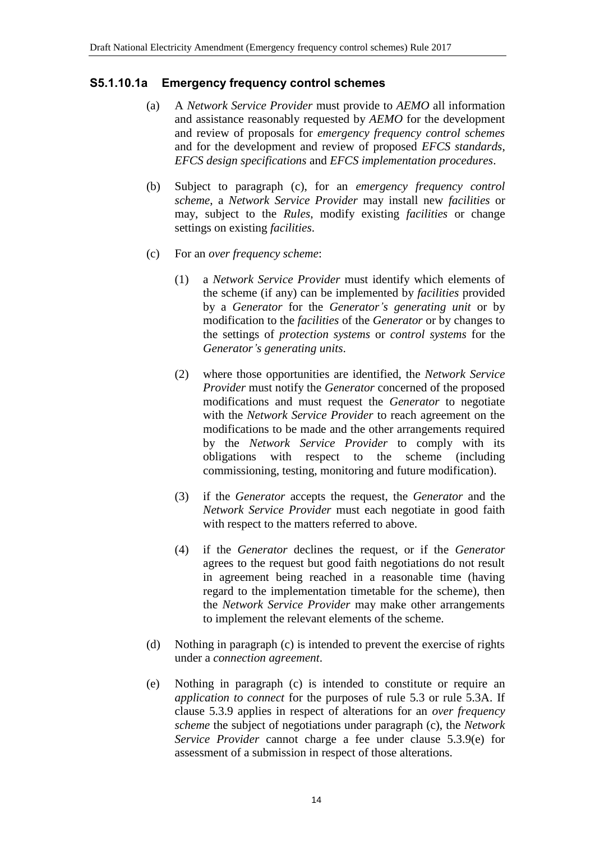#### **S5.1.10.1a Emergency frequency control schemes**

- (a) A *Network Service Provider* must provide to *AEMO* all information and assistance reasonably requested by *AEMO* for the development and review of proposals for *emergency frequency control schemes* and for the development and review of proposed *EFCS standards*, *EFCS design specifications* and *EFCS implementation procedures*.
- (b) Subject to paragraph (c), for an *emergency frequency control scheme*, a *Network Service Provider* may install new *facilities* or may, subject to the *Rules*, modify existing *facilities* or change settings on existing *facilities*.
- (c) For an *over frequency scheme*:
	- (1) a *Network Service Provider* must identify which elements of the scheme (if any) can be implemented by *facilities* provided by a *Generator* for the *Generator's generating unit* or by modification to the *facilities* of the *Generator* or by changes to the settings of *protection systems* or *control systems* for the *Generator's generating units*.
	- (2) where those opportunities are identified, the *Network Service Provider* must notify the *Generator* concerned of the proposed modifications and must request the *Generator* to negotiate with the *Network Service Provider* to reach agreement on the modifications to be made and the other arrangements required by the *Network Service Provider* to comply with its obligations with respect to the scheme (including commissioning, testing, monitoring and future modification).
	- (3) if the *Generator* accepts the request, the *Generator* and the *Network Service Provider* must each negotiate in good faith with respect to the matters referred to above.
	- (4) if the *Generator* declines the request, or if the *Generator* agrees to the request but good faith negotiations do not result in agreement being reached in a reasonable time (having regard to the implementation timetable for the scheme), then the *Network Service Provider* may make other arrangements to implement the relevant elements of the scheme.
- (d) Nothing in paragraph (c) is intended to prevent the exercise of rights under a *connection agreement*.
- (e) Nothing in paragraph (c) is intended to constitute or require an *application to connect* for the purposes of rule 5.3 or rule 5.3A. If clause 5.3.9 applies in respect of alterations for an *over frequency scheme* the subject of negotiations under paragraph (c), the *Network Service Provider* cannot charge a fee under clause 5.3.9(e) for assessment of a submission in respect of those alterations.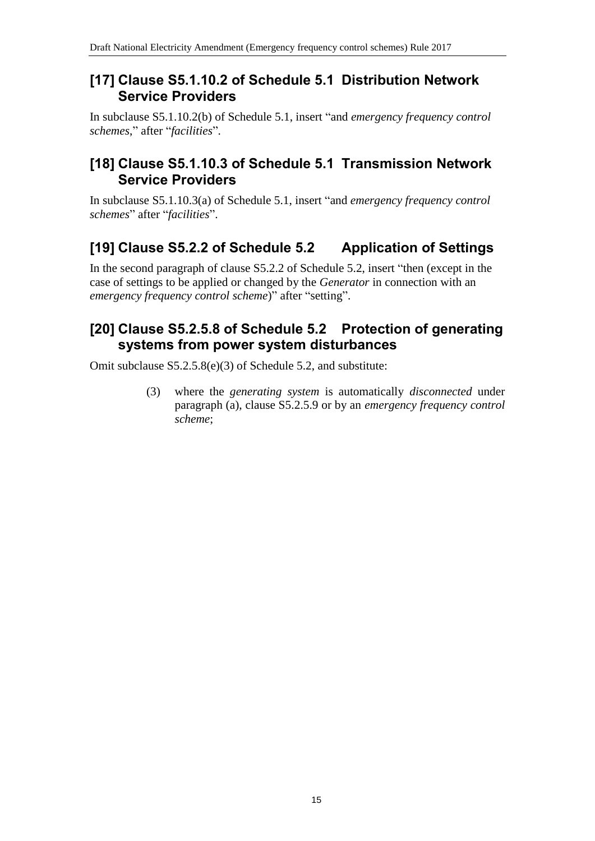#### **[17] Clause S5.1.10.2 of Schedule 5.1 Distribution Network Service Providers**

In subclause S5.1.10.2(b) of Schedule 5.1, insert "and *emergency frequency control schemes*," after "*facilities*".

#### **[18] Clause S5.1.10.3 of Schedule 5.1 Transmission Network Service Providers**

In subclause S5.1.10.3(a) of Schedule 5.1, insert "and *emergency frequency control schemes*" after "*facilities*".

# **[19] Clause S5.2.2 of Schedule 5.2 Application of Settings**

In the second paragraph of clause S5.2.2 of Schedule 5.2, insert "then (except in the case of settings to be applied or changed by the *Generator* in connection with an *emergency frequency control scheme*)" after "setting".

## **[20] Clause S5.2.5.8 of Schedule 5.2 Protection of generating systems from power system disturbances**

Omit subclause S5.2.5.8(e)(3) of Schedule 5.2, and substitute:

(3) where the *generating system* is automatically *disconnected* under paragraph (a), clause S5.2.5.9 or by an *emergency frequency control scheme*;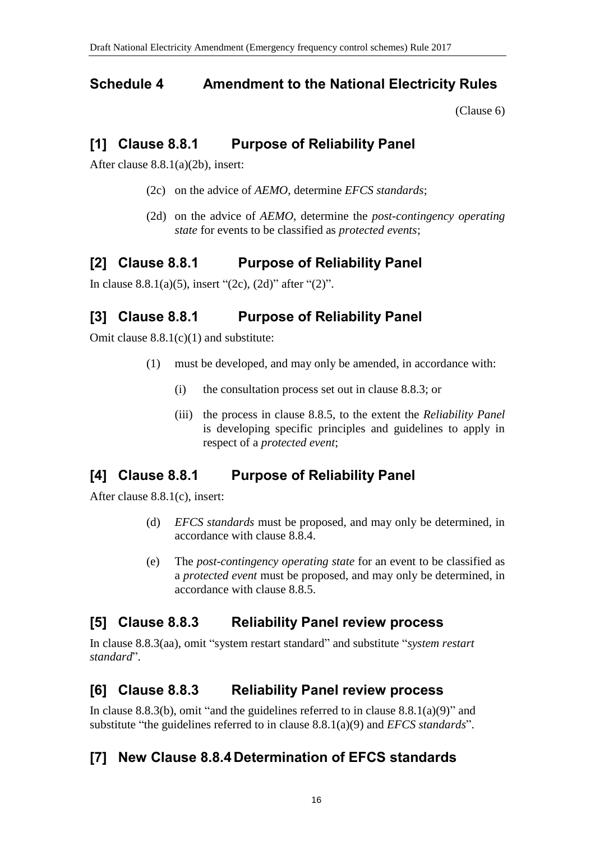## <span id="page-15-0"></span>**Schedule 4 Amendment to the National Electricity Rules**

[\(Clause 6\)](#page-1-3)

## **[1] Clause 8.8.1 Purpose of Reliability Panel**

After clause 8.8.1(a)(2b), insert:

- (2c) on the advice of *AEMO*, determine *EFCS standards*;
- (2d) on the advice of *AEMO*, determine the *post-contingency operating state* for events to be classified as *protected events*;

# **[2] Clause 8.8.1 Purpose of Reliability Panel**

In clause 8.8.1(a)(5), insert "(2c), (2d)" after "(2)".

# **[3] Clause 8.8.1 Purpose of Reliability Panel**

Omit clause  $8.8.1(c)(1)$  and substitute:

- (1) must be developed, and may only be amended, in accordance with:
	- (i) the consultation process set out in clause 8.8.3; or
	- (iii) the process in clause 8.8.5, to the extent the *Reliability Panel* is developing specific principles and guidelines to apply in respect of a *protected event*;

### **[4] Clause 8.8.1 Purpose of Reliability Panel**

After clause 8.8.1(c), insert:

- (d) *EFCS standards* must be proposed, and may only be determined, in accordance with clause 8.8.4.
- (e) The *post-contingency operating state* for an event to be classified as a *protected event* must be proposed, and may only be determined, in accordance with clause 8.8.5.

### **[5] Clause 8.8.3 Reliability Panel review process**

In clause 8.8.3(aa), omit "system restart standard" and substitute "*system restart standard*".

# **[6] Clause 8.8.3 Reliability Panel review process**

In clause 8.8.3(b), omit "and the guidelines referred to in clause  $8.8.1(a)(9)$ " and substitute "the guidelines referred to in clause 8.8.1(a)(9) and *EFCS standards*".

# **[7] New Clause 8.8.4 Determination of EFCS standards**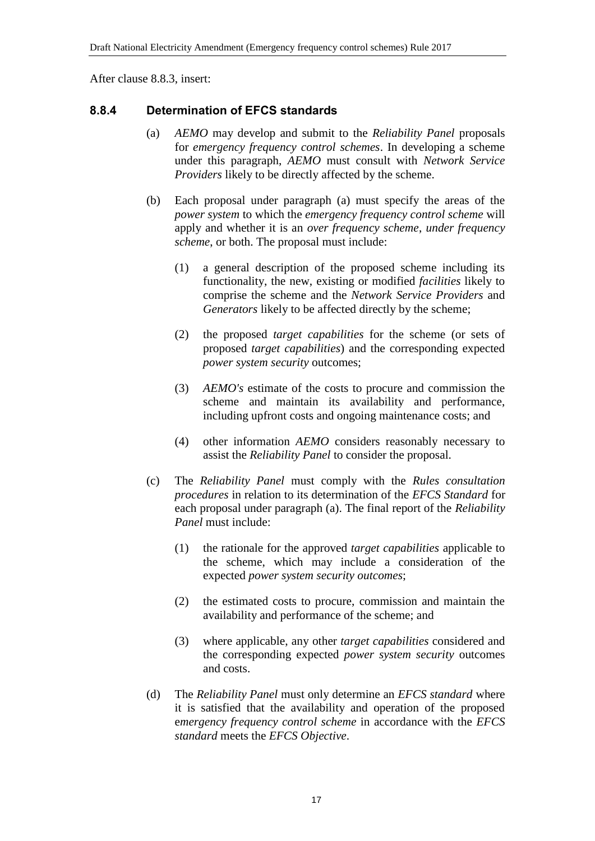After clause 8.8.3, insert:

#### **8.8.4 Determination of EFCS standards**

- (a) *AEMO* may develop and submit to the *Reliability Panel* proposals for *emergency frequency control schemes*. In developing a scheme under this paragraph, *AEMO* must consult with *Network Service Providers* likely to be directly affected by the scheme.
- (b) Each proposal under paragraph (a) must specify the areas of the *power system* to which the *emergency frequency control scheme* will apply and whether it is an *over frequency scheme*, *under frequency scheme*, or both. The proposal must include:
	- (1) a general description of the proposed scheme including its functionality, the new, existing or modified *facilities* likely to comprise the scheme and the *Network Service Providers* and *Generators* likely to be affected directly by the scheme;
	- (2) the proposed *target capabilities* for the scheme (or sets of proposed *target capabilities*) and the corresponding expected *power system security* outcomes;
	- (3) *AEMO's* estimate of the costs to procure and commission the scheme and maintain its availability and performance, including upfront costs and ongoing maintenance costs; and
	- (4) other information *AEMO* considers reasonably necessary to assist the *Reliability Panel* to consider the proposal.
- (c) The *Reliability Panel* must comply with the *Rules consultation procedures* in relation to its determination of the *EFCS Standard* for each proposal under paragraph (a). The final report of the *Reliability Panel* must include:
	- (1) the rationale for the approved *target capabilities* applicable to the scheme, which may include a consideration of the expected *power system security outcomes*;
	- (2) the estimated costs to procure, commission and maintain the availability and performance of the scheme; and
	- (3) where applicable, any other *target capabilities* considered and the corresponding expected *power system security* outcomes and costs.
- (d) The *Reliability Panel* must only determine an *EFCS standard* where it is satisfied that the availability and operation of the proposed e*mergency frequency control scheme* in accordance with the *EFCS standard* meets the *EFCS Objective*.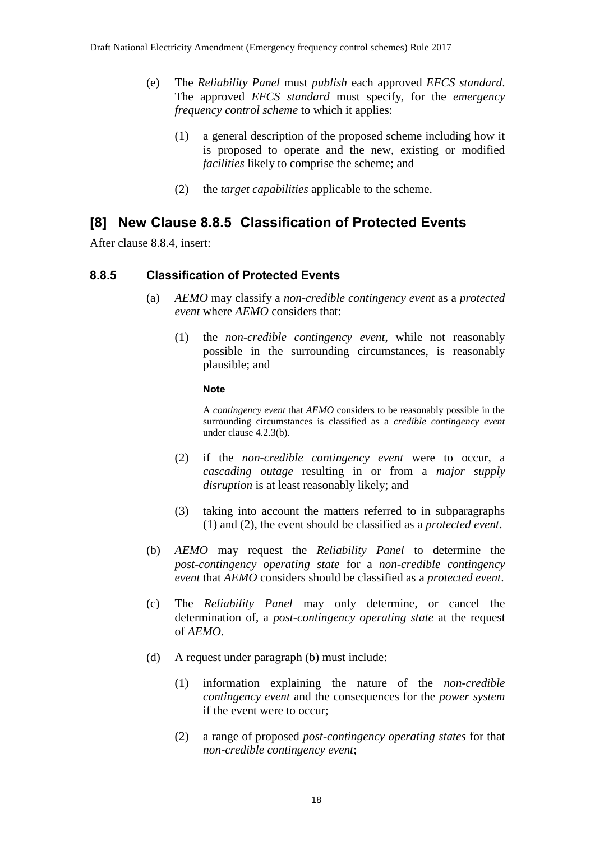- (e) The *Reliability Panel* must *publish* each approved *EFCS standard*. The approved *EFCS standard* must specify, for the *emergency frequency control scheme* to which it applies:
	- (1) a general description of the proposed scheme including how it is proposed to operate and the new, existing or modified *facilities* likely to comprise the scheme; and
	- (2) the *target capabilities* applicable to the scheme.

# **[8] New Clause 8.8.5 Classification of Protected Events**

After clause 8.8.4, insert:

#### **8.8.5 Classification of Protected Events**

- (a) *AEMO* may classify a *non-credible contingency event* as a *protected event* where *AEMO* considers that:
	- (1) the *non-credible contingency event*, while not reasonably possible in the surrounding circumstances, is reasonably plausible; and

#### **Note**

A *contingency event* that *AEMO* considers to be reasonably possible in the surrounding circumstances is classified as a *credible contingency event* under clause 4.2.3(b).

- (2) if the *non-credible contingency event* were to occur, a *cascading outage* resulting in or from a *major supply disruption* is at least reasonably likely; and
- (3) taking into account the matters referred to in subparagraphs (1) and (2), the event should be classified as a *protected event*.
- (b) *AEMO* may request the *Reliability Panel* to determine the *post-contingency operating state* for a *non-credible contingency event* that *AEMO* considers should be classified as a *protected event*.
- (c) The *Reliability Panel* may only determine, or cancel the determination of, a *post-contingency operating state* at the request of *AEMO*.
- (d) A request under paragraph (b) must include:
	- (1) information explaining the nature of the *non-credible contingency event* and the consequences for the *power system* if the event were to occur;
	- (2) a range of proposed *post-contingency operating states* for that *non-credible contingency event*;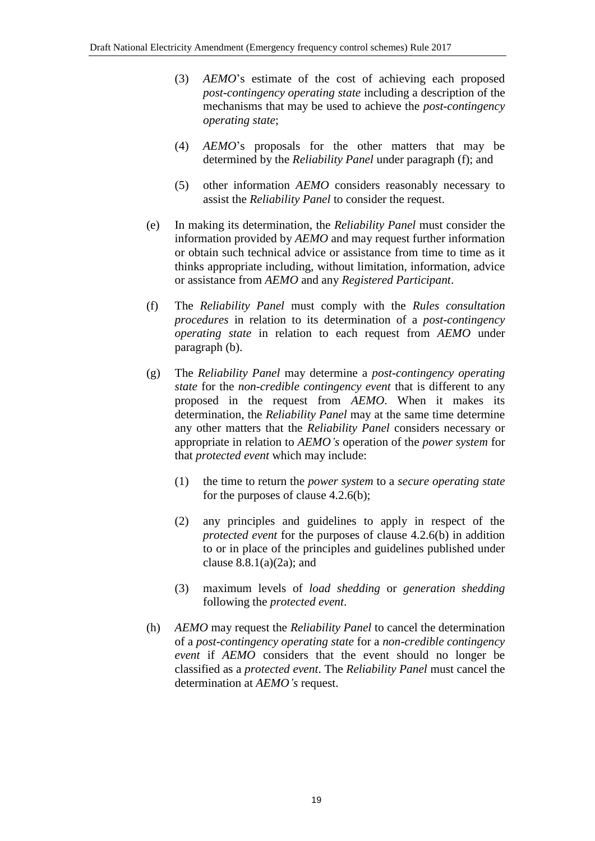- (3) *AEMO*'s estimate of the cost of achieving each proposed *post-contingency operating state* including a description of the mechanisms that may be used to achieve the *post-contingency operating state*;
- (4) *AEMO*'s proposals for the other matters that may be determined by the *Reliability Panel* under paragraph (f); and
- (5) other information *AEMO* considers reasonably necessary to assist the *Reliability Panel* to consider the request.
- (e) In making its determination, the *Reliability Panel* must consider the information provided by *AEMO* and may request further information or obtain such technical advice or assistance from time to time as it thinks appropriate including, without limitation, information, advice or assistance from *AEMO* and any *Registered Participant*.
- (f) The *Reliability Panel* must comply with the *Rules consultation procedures* in relation to its determination of a *post-contingency operating state* in relation to each request from *AEMO* under paragraph (b).
- (g) The *Reliability Panel* may determine a *post-contingency operating state* for the *non-credible contingency event* that is different to any proposed in the request from *AEMO*. When it makes its determination, the *Reliability Panel* may at the same time determine any other matters that the *Reliability Panel* considers necessary or appropriate in relation to *AEMO's* operation of the *power system* for that *protected event* which may include:
	- (1) the time to return the *power system* to a *secure operating state* for the purposes of clause 4.2.6(b);
	- (2) any principles and guidelines to apply in respect of the *protected event* for the purposes of clause 4.2.6(b) in addition to or in place of the principles and guidelines published under clause  $8.8.1(a)(2a)$ ; and
	- (3) maximum levels of *load shedding* or *generation shedding* following the *protected event*.
- (h) *AEMO* may request the *Reliability Panel* to cancel the determination of a *post-contingency operating state* for a *non-credible contingency event* if *AEMO* considers that the event should no longer be classified as a *protected event*. The *Reliability Panel* must cancel the determination at *AEMO's* request.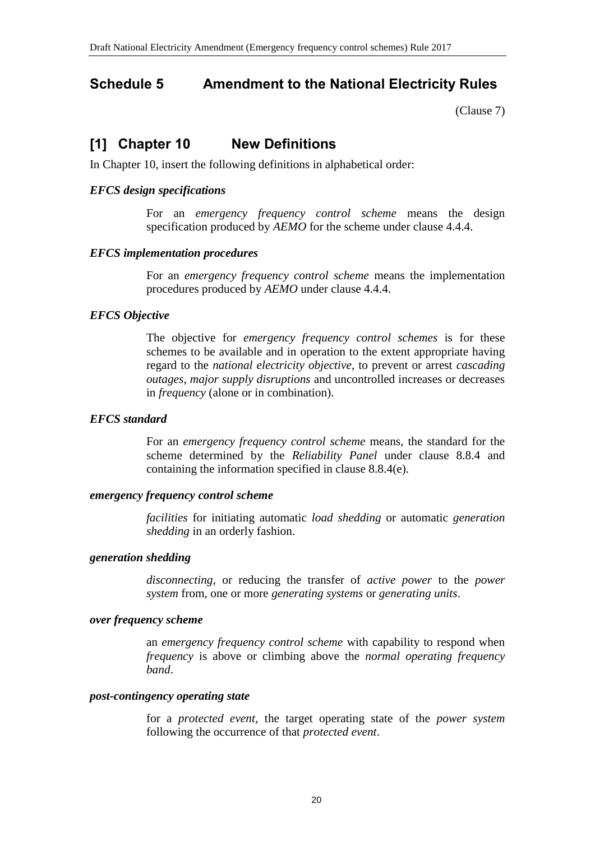# <span id="page-19-0"></span>**Schedule 5 Amendment to the National Electricity Rules**

[\(Clause 7\)](#page-1-4)

### **[1] Chapter 10 New Definitions**

In Chapter 10, insert the following definitions in alphabetical order:

#### *EFCS design specifications*

For an *emergency frequency control scheme* means the design specification produced by *AEMO* for the scheme under clause 4.4.4.

#### *EFCS implementation procedures*

For an *emergency frequency control scheme* means the implementation procedures produced by *AEMO* under clause 4.4.4.

#### *EFCS Objective*

The objective for *emergency frequency control schemes* is for these schemes to be available and in operation to the extent appropriate having regard to the *national electricity objective*, to prevent or arrest *cascading outages*, *major supply disruptions* and uncontrolled increases or decreases in *frequency* (alone or in combination).

#### *EFCS standard*

For an *emergency frequency control scheme* means, the standard for the scheme determined by the *Reliability Panel* under clause 8.8.4 and containing the information specified in clause 8.8.4(e).

#### *emergency frequency control scheme*

*facilities* for initiating automatic *load shedding* or automatic *generation shedding* in an orderly fashion.

#### *generation shedding*

*disconnecting*, or reducing the transfer of *active power* to the *power system* from, one or more *generating systems* or *generating units*.

#### *over frequency scheme*

an *emergency frequency control scheme* with capability to respond when *frequency* is above or climbing above the *normal operating frequency band*.

#### *post-contingency operating state*

for a *protected event*, the target operating state of the *power system* following the occurrence of that *protected event*.